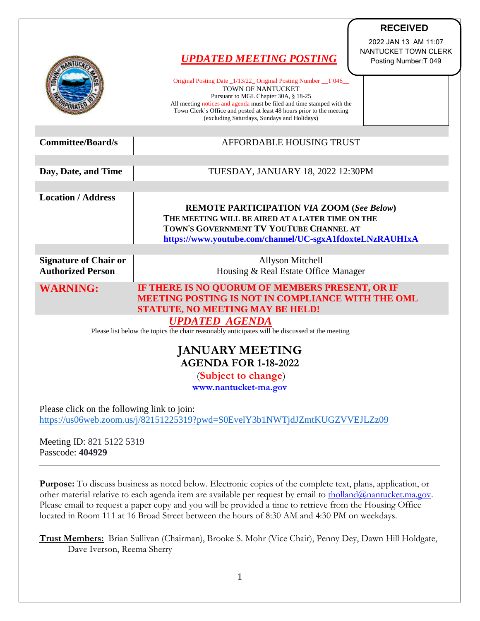|                                                                                                                           | <b>UPDATED MEETING POSTING</b>                                                                                                                                                                                                                                                                                                 | <b>RECEIVED</b><br>2022 JAN 13 AM 11:07<br>NANTUCKET TOWN CLERK<br>Posting Number: T 049 |
|---------------------------------------------------------------------------------------------------------------------------|--------------------------------------------------------------------------------------------------------------------------------------------------------------------------------------------------------------------------------------------------------------------------------------------------------------------------------|------------------------------------------------------------------------------------------|
|                                                                                                                           | Original Posting Date _1/13/22_ Original Posting Number _T 046_<br>TOWN OF NANTUCKET<br>Pursuant to MGL Chapter 30A, § 18-25<br>All meeting notices and agenda must be filed and time stamped with the<br>Town Clerk's Office and posted at least 48 hours prior to the meeting<br>(excluding Saturdays, Sundays and Holidays) |                                                                                          |
| <b>Committee/Board/s</b>                                                                                                  | AFFORDABLE HOUSING TRUST                                                                                                                                                                                                                                                                                                       |                                                                                          |
| Day, Date, and Time                                                                                                       | TUESDAY, JANUARY 18, 2022 12:30PM                                                                                                                                                                                                                                                                                              |                                                                                          |
| <b>Location / Address</b>                                                                                                 | <b>REMOTE PARTICIPATION VIA ZOOM (See Below)</b><br>THE MEETING WILL BE AIRED AT A LATER TIME ON THE<br>TOWN'S GOVERNMENT TV YOUTUBE CHANNEL AT<br>https://www.youtube.com/channel/UC-sgxA1fdoxteLNzRAUHIxA                                                                                                                    |                                                                                          |
| <b>Signature of Chair or</b><br><b>Authorized Person</b>                                                                  | <b>Allyson Mitchell</b><br>Housing & Real Estate Office Manager                                                                                                                                                                                                                                                                |                                                                                          |
| <b>WARNING:</b>                                                                                                           | IF THERE IS NO QUORUM OF MEMBERS PRESENT, OR IF<br>MEETING POSTING IS NOT IN COMPLIANCE WITH THE OML<br><b>STATUTE, NO MEETING MAY BE HELD!</b><br><b>UPDATED AGENDA</b>                                                                                                                                                       |                                                                                          |
| Please list below the topics the chair reasonably anticipates will be discussed at the meeting                            |                                                                                                                                                                                                                                                                                                                                |                                                                                          |
| <b>JANUARY MEETING</b><br><b>AGENDA FOR 1-18-2022</b>                                                                     |                                                                                                                                                                                                                                                                                                                                |                                                                                          |
| (Subject to change)<br>www.nantucket-ma.gov                                                                               |                                                                                                                                                                                                                                                                                                                                |                                                                                          |
| Please click on the following link to join:<br>https://us06web.zoom.us/j/82151225319?pwd=S0EvelY3b1NWTjdJZmtKUGZVVEJLZz09 |                                                                                                                                                                                                                                                                                                                                |                                                                                          |

Meeting ID: 821 5122 5319 Passcode: **404929**

**Purpose:** To discuss business as noted below. Electronic copies of the complete text, plans, application, or other material relative to each agenda item are available per request by email to **tholland@nantucket.ma.gov**. Please email to request a paper copy and you will be provided a time to retrieve from the Housing Office located in Room 111 at 16 Broad Street between the hours of 8:30 AM and 4:30 PM on weekdays.

**Trust Members:** Brian Sullivan (Chairman), Brooke S. Mohr (Vice Chair), Penny Dey, Dawn Hill Holdgate, Dave Iverson, Reema Sherry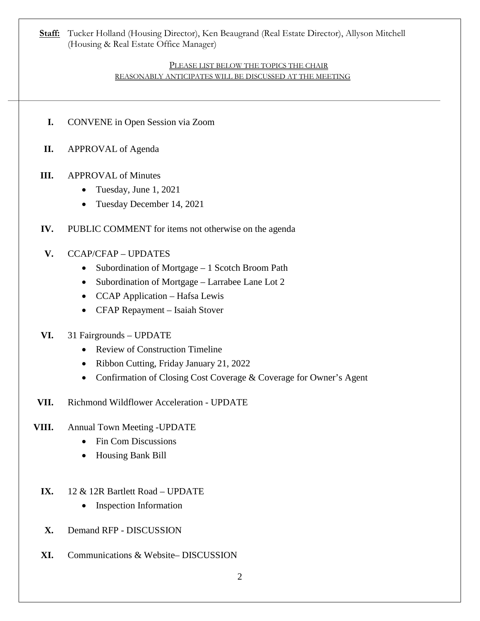**Staff:** Tucker Holland (Housing Director), Ken Beaugrand (Real Estate Director), Allyson Mitchell (Housing & Real Estate Office Manager)

#### PLEASE LIST BELOW THE TOPICS THE CHAIR REASONABLY ANTICIPATES WILL BE DISCUSSED AT THE MEETING

- **I.** CONVENE in Open Session via Zoom
- **II.** APPROVAL of Agenda

## **III.** APPROVAL of Minutes

- Tuesday, June 1, 2021
- Tuesday December 14, 2021
- **IV.** PUBLIC COMMENT for items not otherwise on the agenda
- **V.** CCAP/CFAP UPDATES
	- Subordination of Mortgage 1 Scotch Broom Path
	- Subordination of Mortgage Larrabee Lane Lot 2
	- CCAP Application Hafsa Lewis
	- CFAP Repayment Isaiah Stover

### **VI.** 31 Fairgrounds – UPDATE

- Review of Construction Timeline
- Ribbon Cutting, Friday January 21, 2022
- Confirmation of Closing Cost Coverage & Coverage for Owner's Agent
- **VII.** Richmond Wildflower Acceleration UPDATE

### **VIII.** Annual Town Meeting -UPDATE

- Fin Com Discussions
- Housing Bank Bill
- **IX.** 12 & 12R Bartlett Road UPDATE
	- Inspection Information
- **X.** Demand RFP DISCUSSION
- **XI.** Communications & Website– DISCUSSION